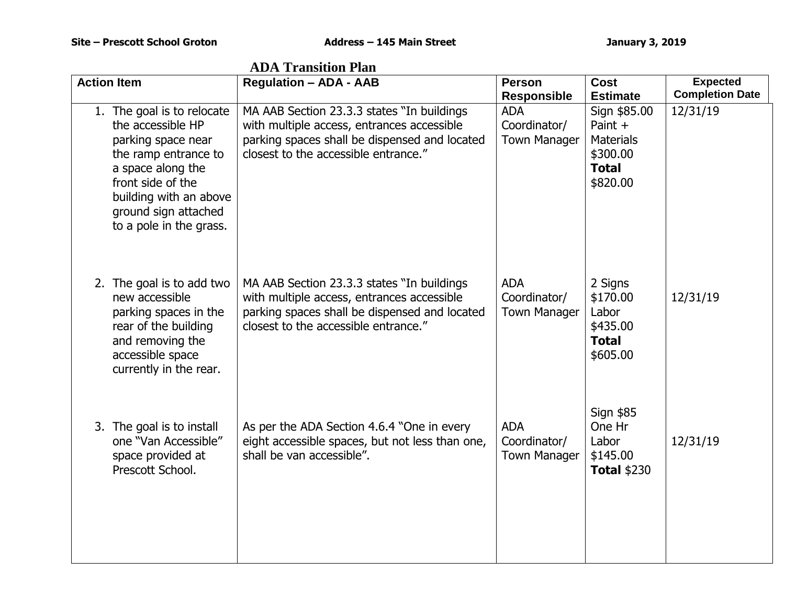| <b>ADA Transition Plan</b>                                                                                                                                                                                           |                                                                                                                                                                                   |                                                   |                                                                                     |                                           |
|----------------------------------------------------------------------------------------------------------------------------------------------------------------------------------------------------------------------|-----------------------------------------------------------------------------------------------------------------------------------------------------------------------------------|---------------------------------------------------|-------------------------------------------------------------------------------------|-------------------------------------------|
| <b>Action Item</b>                                                                                                                                                                                                   | <b>Regulation - ADA - AAB</b>                                                                                                                                                     | <b>Person</b><br><b>Responsible</b>               | <b>Cost</b><br><b>Estimate</b>                                                      | <b>Expected</b><br><b>Completion Date</b> |
| 1. The goal is to relocate<br>the accessible HP<br>parking space near<br>the ramp entrance to<br>a space along the<br>front side of the<br>building with an above<br>ground sign attached<br>to a pole in the grass. | MA AAB Section 23.3.3 states "In buildings<br>with multiple access, entrances accessible<br>parking spaces shall be dispensed and located<br>closest to the accessible entrance." | <b>ADA</b><br>Coordinator/<br><b>Town Manager</b> | Sign \$85.00<br>Paint +<br><b>Materials</b><br>\$300.00<br><b>Total</b><br>\$820.00 | 12/31/19                                  |
| 2. The goal is to add two<br>new accessible<br>parking spaces in the<br>rear of the building<br>and removing the<br>accessible space<br>currently in the rear.                                                       | MA AAB Section 23.3.3 states "In buildings<br>with multiple access, entrances accessible<br>parking spaces shall be dispensed and located<br>closest to the accessible entrance." | <b>ADA</b><br>Coordinator/<br><b>Town Manager</b> | 2 Signs<br>\$170.00<br>Labor<br>\$435.00<br><b>Total</b><br>\$605.00                | 12/31/19                                  |
| 3. The goal is to install<br>one "Van Accessible"<br>space provided at<br>Prescott School.                                                                                                                           | As per the ADA Section 4.6.4 "One in every<br>eight accessible spaces, but not less than one,<br>shall be van accessible".                                                        | <b>ADA</b><br>Coordinator/<br><b>Town Manager</b> | Sign \$85<br>One Hr<br>Labor<br>\$145.00<br><b>Total \$230</b>                      | 12/31/19                                  |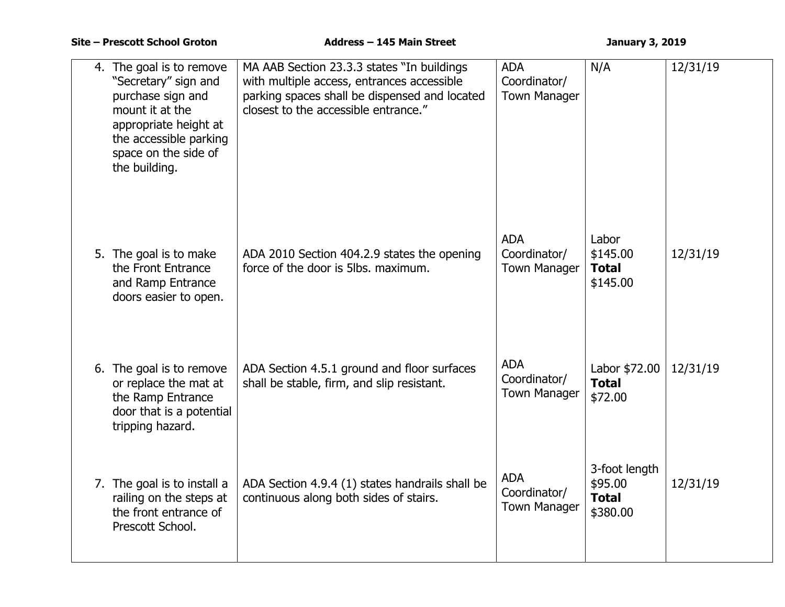| 4. The goal is to remove<br>"Secretary" sign and<br>purchase sign and<br>mount it at the<br>appropriate height at<br>the accessible parking<br>space on the side of<br>the building. | MA AAB Section 23.3.3 states "In buildings<br>with multiple access, entrances accessible<br>parking spaces shall be dispensed and located<br>closest to the accessible entrance." | <b>ADA</b><br>Coordinator/<br><b>Town Manager</b> | N/A                                                  | 12/31/19 |
|--------------------------------------------------------------------------------------------------------------------------------------------------------------------------------------|-----------------------------------------------------------------------------------------------------------------------------------------------------------------------------------|---------------------------------------------------|------------------------------------------------------|----------|
| 5. The goal is to make<br>the Front Entrance<br>and Ramp Entrance<br>doors easier to open.                                                                                           | ADA 2010 Section 404.2.9 states the opening<br>force of the door is 5lbs, maximum.                                                                                                | <b>ADA</b><br>Coordinator/<br><b>Town Manager</b> | Labor<br>\$145.00<br><b>Total</b><br>\$145.00        | 12/31/19 |
| 6. The goal is to remove<br>or replace the mat at<br>the Ramp Entrance<br>door that is a potential<br>tripping hazard.                                                               | ADA Section 4.5.1 ground and floor surfaces<br>shall be stable, firm, and slip resistant.                                                                                         | <b>ADA</b><br>Coordinator/<br><b>Town Manager</b> | Labor \$72.00<br><b>Total</b><br>\$72.00             | 12/31/19 |
| 7. The goal is to install a<br>railing on the steps at<br>the front entrance of<br>Prescott School.                                                                                  | ADA Section 4.9.4 (1) states handrails shall be<br>continuous along both sides of stairs.                                                                                         | <b>ADA</b><br>Coordinator/<br><b>Town Manager</b> | 3-foot length<br>\$95.00<br><b>Total</b><br>\$380.00 | 12/31/19 |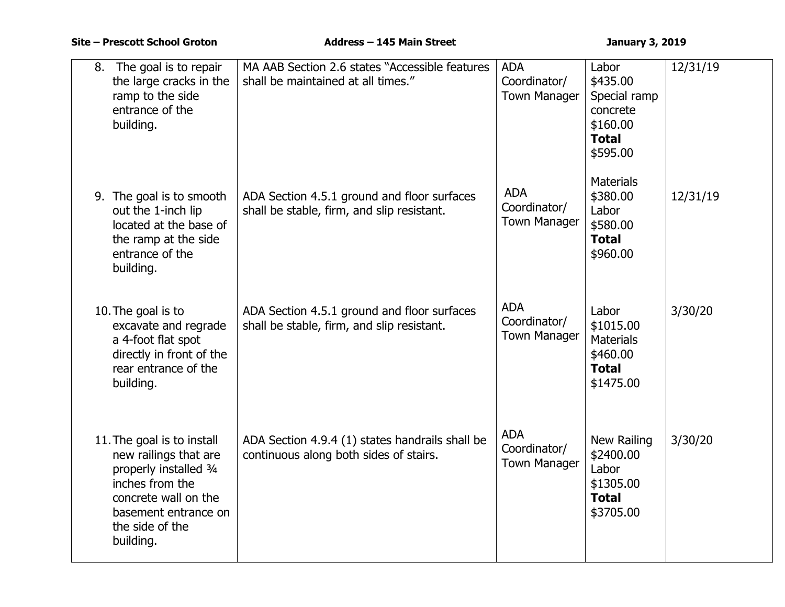| The goal is to repair<br>8.<br>the large cracks in the<br>ramp to the side<br>entrance of the<br>building.                                                                       | MA AAB Section 2.6 states "Accessible features<br>shall be maintained at all times."      | <b>ADA</b><br>Coordinator/<br><b>Town Manager</b> | Labor<br>\$435.00<br>Special ramp<br>concrete<br>\$160.00<br><b>Total</b><br>\$595.00 | 12/31/19 |
|----------------------------------------------------------------------------------------------------------------------------------------------------------------------------------|-------------------------------------------------------------------------------------------|---------------------------------------------------|---------------------------------------------------------------------------------------|----------|
| 9. The goal is to smooth<br>out the 1-inch lip<br>located at the base of<br>the ramp at the side<br>entrance of the<br>building.                                                 | ADA Section 4.5.1 ground and floor surfaces<br>shall be stable, firm, and slip resistant. | <b>ADA</b><br>Coordinator/<br><b>Town Manager</b> | <b>Materials</b><br>\$380.00<br>Labor<br>\$580.00<br><b>Total</b><br>\$960.00         | 12/31/19 |
| 10. The goal is to<br>excavate and regrade<br>a 4-foot flat spot<br>directly in front of the<br>rear entrance of the<br>building.                                                | ADA Section 4.5.1 ground and floor surfaces<br>shall be stable, firm, and slip resistant. | <b>ADA</b><br>Coordinator/<br><b>Town Manager</b> | Labor<br>\$1015.00<br><b>Materials</b><br>\$460.00<br><b>Total</b><br>\$1475.00       | 3/30/20  |
| 11. The goal is to install<br>new railings that are<br>properly installed 3/4<br>inches from the<br>concrete wall on the<br>basement entrance on<br>the side of the<br>building. | ADA Section 4.9.4 (1) states handrails shall be<br>continuous along both sides of stairs. | <b>ADA</b><br>Coordinator/<br><b>Town Manager</b> | New Railing<br>\$2400.00<br>Labor<br>\$1305.00<br><b>Total</b><br>\$3705.00           | 3/30/20  |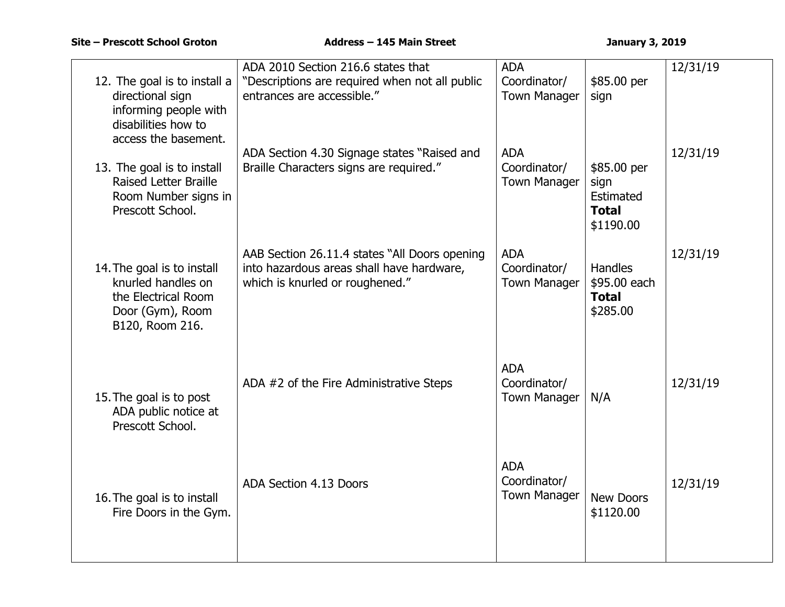| 12. The goal is to install a<br>directional sign<br>informing people with<br>disabilities how to<br>access the basement. | ADA 2010 Section 216.6 states that<br>"Descriptions are required when not all public<br>entrances are accessible."            | <b>ADA</b><br>Coordinator/<br><b>Town Manager</b> | \$85.00 per<br>sign                                           | 12/31/19 |
|--------------------------------------------------------------------------------------------------------------------------|-------------------------------------------------------------------------------------------------------------------------------|---------------------------------------------------|---------------------------------------------------------------|----------|
| 13. The goal is to install<br><b>Raised Letter Braille</b><br>Room Number signs in<br>Prescott School.                   | ADA Section 4.30 Signage states "Raised and<br>Braille Characters signs are required."                                        | <b>ADA</b><br>Coordinator/<br><b>Town Manager</b> | \$85.00 per<br>sign<br>Estimated<br><b>Total</b><br>\$1190.00 | 12/31/19 |
| 14. The goal is to install<br>knurled handles on<br>the Electrical Room<br>Door (Gym), Room<br>B120, Room 216.           | AAB Section 26.11.4 states "All Doors opening<br>into hazardous areas shall have hardware,<br>which is knurled or roughened." | <b>ADA</b><br>Coordinator/<br><b>Town Manager</b> | <b>Handles</b><br>\$95.00 each<br><b>Total</b><br>\$285.00    | 12/31/19 |
| 15. The goal is to post<br>ADA public notice at<br>Prescott School.                                                      | ADA #2 of the Fire Administrative Steps                                                                                       | <b>ADA</b><br>Coordinator/<br><b>Town Manager</b> | N/A                                                           | 12/31/19 |
| 16. The goal is to install<br>Fire Doors in the Gym.                                                                     | ADA Section 4.13 Doors                                                                                                        | <b>ADA</b><br>Coordinator/<br><b>Town Manager</b> | <b>New Doors</b><br>\$1120.00                                 | 12/31/19 |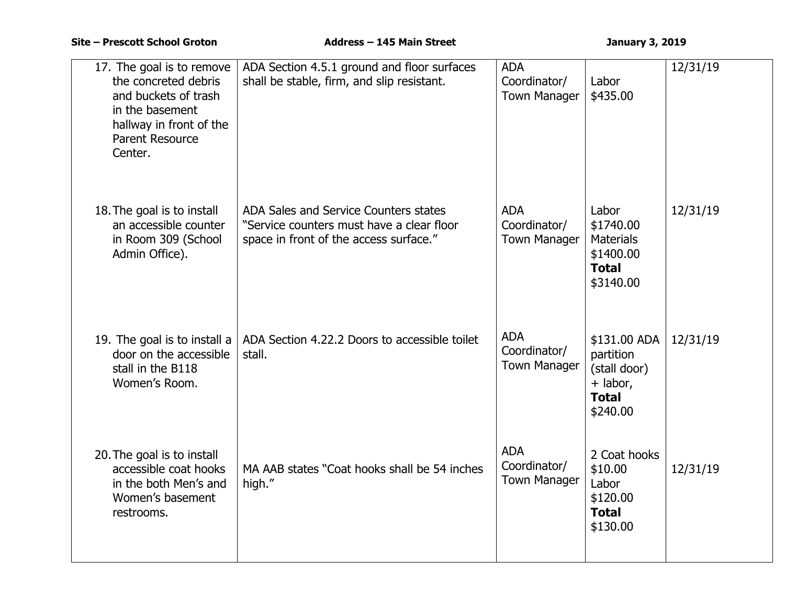| 17. The goal is to remove<br>the concreted debris<br>and buckets of trash<br>in the basement<br>hallway in front of the<br>Parent Resource<br>Center. | ADA Section 4.5.1 ground and floor surfaces<br>shall be stable, firm, and slip resistant.                                    | <b>ADA</b><br>Coordinator/<br><b>Town Manager</b> | Labor<br>\$435.00                                                                 | 12/31/19 |
|-------------------------------------------------------------------------------------------------------------------------------------------------------|------------------------------------------------------------------------------------------------------------------------------|---------------------------------------------------|-----------------------------------------------------------------------------------|----------|
| 18. The goal is to install<br>an accessible counter<br>in Room 309 (School<br>Admin Office).                                                          | ADA Sales and Service Counters states<br>"Service counters must have a clear floor<br>space in front of the access surface." | <b>ADA</b><br>Coordinator/<br><b>Town Manager</b> | Labor<br>\$1740.00<br><b>Materials</b><br>\$1400.00<br><b>Total</b><br>\$3140.00  | 12/31/19 |
| 19. The goal is to install a<br>door on the accessible<br>stall in the B118<br>Women's Room.                                                          | ADA Section 4.22.2 Doors to accessible toilet<br>stall.                                                                      | <b>ADA</b><br>Coordinator/<br><b>Town Manager</b> | \$131.00 ADA<br>partition<br>(stall door)<br>+ labor,<br><b>Total</b><br>\$240.00 | 12/31/19 |
| 20. The goal is to install<br>accessible coat hooks<br>in the both Men's and<br>Women's basement<br>restrooms.                                        | MA AAB states "Coat hooks shall be 54 inches<br>high."                                                                       | <b>ADA</b><br>Coordinator/<br><b>Town Manager</b> | 2 Coat hooks<br>\$10.00<br>Labor<br>\$120.00<br><b>Total</b><br>\$130.00          | 12/31/19 |